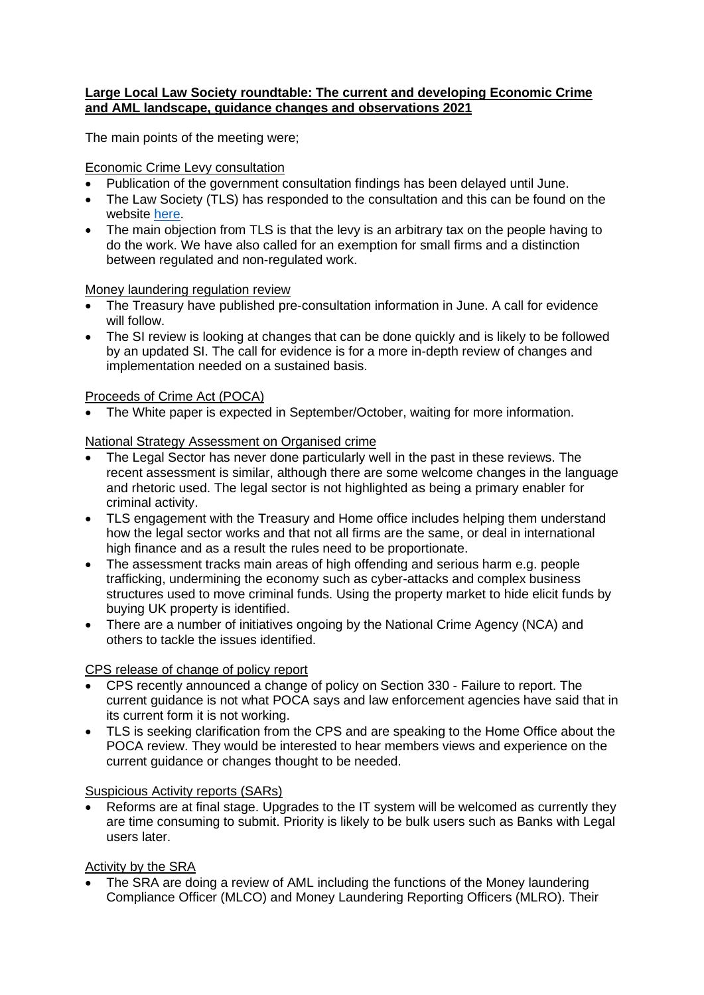### **Large Local Law Society roundtable: The current and developing Economic Crime and AML landscape, guidance changes and observations 2021**

The main points of the meeting were;

## Economic Crime Levy consultation

- Publication of the government consultation findings has been delayed until June.
- The Law Society (TLS) has responded to the consultation and this can be found on the website [here.](https://www.lawsociety.org.uk/campaigns/consultation-responses/economic-crime-levy-funding-new-government-action-to-tackle-money-laundering)
- The main objection from TLS is that the levy is an arbitrary tax on the people having to do the work. We have also called for an exemption for small firms and a distinction between regulated and non-regulated work.

#### Money laundering regulation review

- The Treasury have published pre-consultation information in June. A call for evidence will follow.
- The SI review is looking at changes that can be done quickly and is likely to be followed by an updated SI. The call for evidence is for a more in-depth review of changes and implementation needed on a sustained basis.

## Proceeds of Crime Act (POCA)

• The White paper is expected in September/October, waiting for more information.

#### National Strategy Assessment on Organised crime

- The Legal Sector has never done particularly well in the past in these reviews. The recent assessment is similar, although there are some welcome changes in the language and rhetoric used. The legal sector is not highlighted as being a primary enabler for criminal activity.
- TLS engagement with the Treasury and Home office includes helping them understand how the legal sector works and that not all firms are the same, or deal in international high finance and as a result the rules need to be proportionate.
- The assessment tracks main areas of high offending and serious harm e.g. people trafficking, undermining the economy such as cyber-attacks and complex business structures used to move criminal funds. Using the property market to hide elicit funds by buying UK property is identified.
- There are a number of initiatives ongoing by the National Crime Agency (NCA) and others to tackle the issues identified.

#### CPS release of change of policy report

- CPS recently announced a change of policy on Section 330 Failure to report. The current guidance is not what POCA says and law enforcement agencies have said that in its current form it is not working.
- TLS is seeking clarification from the CPS and are speaking to the Home Office about the POCA review. They would be interested to hear members views and experience on the current guidance or changes thought to be needed.

#### Suspicious Activity reports (SARs)

• Reforms are at final stage. Upgrades to the IT system will be welcomed as currently they are time consuming to submit. Priority is likely to be bulk users such as Banks with Legal users later.

# Activity by the SRA

• The SRA are doing a review of AML including the functions of the Money laundering Compliance Officer (MLCO) and Money Laundering Reporting Officers (MLRO). Their